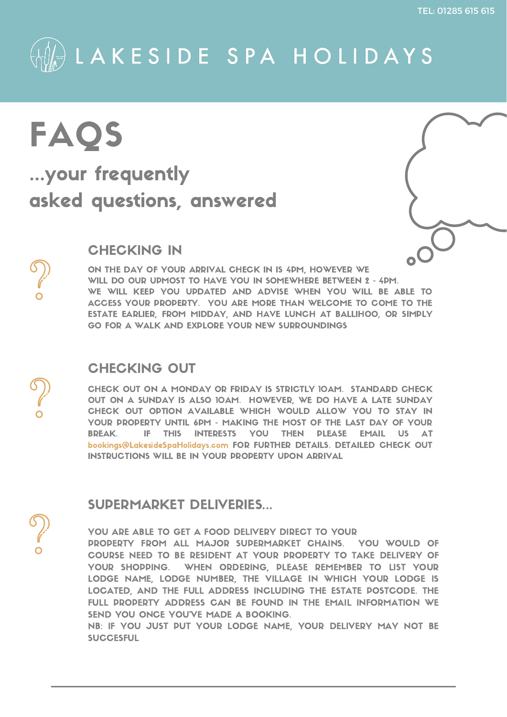TEL: 01285 615 615



# FAQS ...your frequently asked questions, answered

# CHECKING IN

# CHECKING OUT



ON THE DAY OF YOUR ARRIVAL CHECK IN IS 4PM, HOWEVER WE WILL DO OUR UPMOST TO HAVE YOU IN SOMEWHERE BETWEEN 2 - 4PM. WE WILL KEEP YOU UPDATED AND ADVISE WHEN YOU WILL BE ABLE TO ACCESS YOUR PROPERTY. YOU ARE MORE THAN WELCOME TO COME TO THE ESTATE EARLIER, FROM MIDDAY, AND HAVE LUNCH AT BALLIHOO, OR SIMPLY GO FOR A WALK AND EXPLORE YOUR NEW SURROUNDINGS

CHECK OUT ON A MONDAY OR FRIDAY IS STRICTLY 10AM. STANDARD CHECK OUT ON A SUNDAY IS ALSO 10AM. HOWEVER, WE DO HAVE A LATE SUNDAY CHECK OUT OPTION AVAILABLE WHICH WOULD ALLOW YOU TO STAY IN YOUR PROPERTY UNTIL 6PM - MAKING THE MOST OF THE LAST DAY OF YOUR BREAK. IF THIS INTERESTS YOU THEN PLEASE EMAIL US AT bookings@LakesideSpaHolidays.com FOR FURTHER DETAILS. DETAILED CHECK OUT INSTRUCTIONS WILL BE IN YOUR PROPERTY UPON ARRIVAL

YOU ARE ABLE TO GET A FOOD DELIVERY DIRECT TO YOUR PROPERTY FROM ALL MAJOR SUPERMARKET CHAINS. YOU WOULD OF COURSE NEED TO BE RESIDENT AT YOUR PROPERTY TO TAKE DELIVERY OF YOUR SHOPPING. WHEN ORDERING, PLEASE REMEMBER TO LIST YOUR LODGE NAME, LODGE NUMBER, THE VILLAGE IN WHICH YOUR LODGE IS LOCATED, AND THE FULL ADDRESS INCLUDING THE ESTATE POSTCODE. THE FULL PROPERTY ADDRESS CAN BE FOUND IN THE EMAIL INFORMATION WE SEND YOU ONCE YOU'VE MADE A BOOKING.

NB: IF YOU JUST PUT YOUR LODGE NAME, YOUR DELIVERY MAY NOT BE **SUCCESFUL** 



### SUPERMARKET DELIVERIES...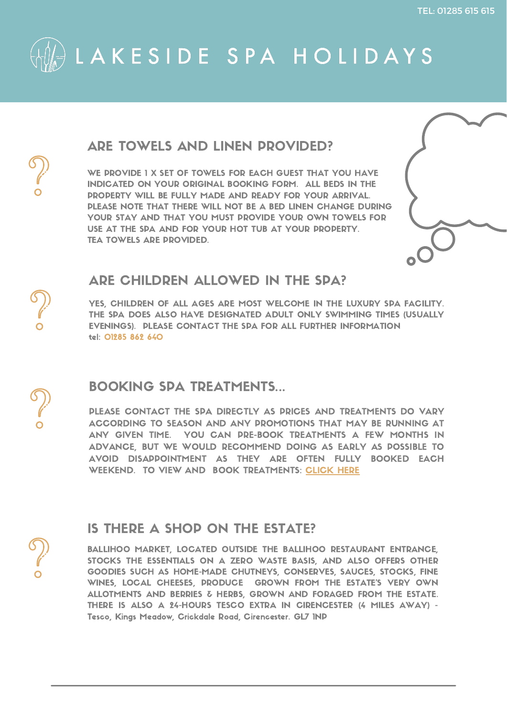

### ARE TOWELS AND LINEN PROVIDED?

WE PROVIDE 1 X SET OF TOWELS FOR EACH GUEST THAT YOU HAVE INDICATED ON YOUR ORIGINAL BOOKING FORM. ALL BEDS IN THE PROPERTY WILL BE FULLY MADE AND READY FOR YOUR ARRIVAL. PLEASE NOTE THAT THERE WILL NOT BE A BED LINEN CHANGE DURING YOUR STAY AND THAT YOU MUST PROVIDE YOUR OWN TOWELS FOR USE AT THE SPA AND FOR YOUR HOT TUB AT YOUR PROPERTY. TEA TOWELS ARE PROVIDED.



YES, CHILDREN OF ALL AGES ARE MOST WELCOME IN THE LUXURY SPA FACILITY. THE SPA DOES ALSO HAVE DESIGNATED ADULT ONLY SWIMMING TIMES (USUALLY EVENINGS). PLEASE CONTACT THE SPA FOR ALL FURTHER INFORMATION tel: 01285 862 640



PLEASE CONTACT THE SPA DIRECTLY AS PRICES AND TREATMENTS DO VARY ACCORDING TO SEASON AND ANY PROMOTIONS THAT MAY BE RUNNING AT ANY GIVEN TIME. YOU CAN PRE-BOOK TREATMENTS A FEW MONTHS IN ADVANCE, BUT WE WOULD RECOMMEND DOING AS EARLY AS POSSIBLE TO AVOID DISAPPOINTMENT AS THEY ARE OFTEN FULLY BOOKED EACH WEEKEND. TO VIEW AND BOOK TREATMENTS: [CLICK](https://www.lmespa.net/treatments) HERE

### ARE CHILDREN ALLOWED IN THE SPA?

### BOOKING SPA TREATMENTS...

# IS THERE A SHOP ON THE ESTATE?

BALLIHOO MARKET, LOCATED OUTSIDE THE BALLIHOO RESTAURANT ENTRANCE, STOCKS THE ESSENTIALS ON A ZERO WASTE BASIS, AND ALSO OFFERS OTHER GOODIES SUCH AS HOME-MADE CHUTNEYS, CONSERVES, SAUCES, STOCKS, FINE WINES, LOCAL CHEESES, PRODUCE GROWN FROM THE ESTATE'S VERY OWN ALLOTMENTS AND BERRIES & HERBS, GROWN AND FORAGED FROM THE ESTATE. THERE IS ALSO A 24-HOURS TESCO EXTRA IN CIRENCESTER (4 MILES AWAY) - Tesco, Kings Meadow, Crickdale Road, Cirencester. GL7 1NP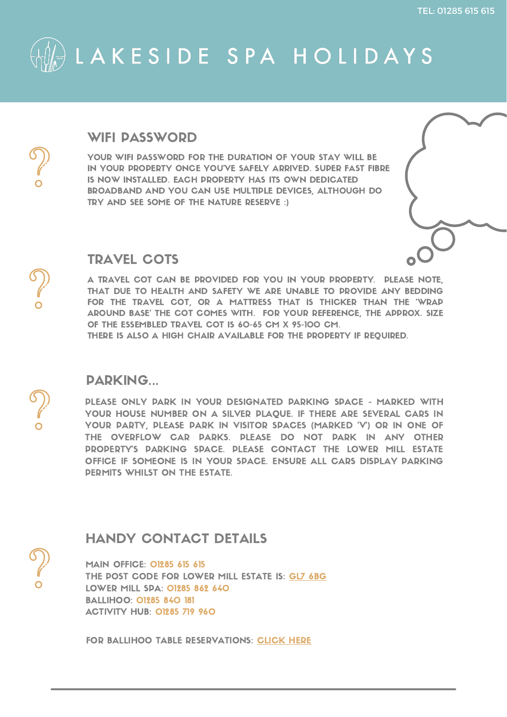MAIN OFFICE: 01285 615 615 THE POST CODE FOR LOWER MILL ESTATE IS: GL7 [6BG](https://goo.gl/maps/mkFg8gCQj47iypSQ7) LOWER MILL SPA: 01285 862 640 BALLIHOO: 01285 840 181 ACTIVITY HUB: 01285 719 960





### HANDY CONTACT DETAILS

FOR BALLIHOO TABLE RESERVATIONS: [CLICK](https://www.ballihooclub.com/reservations/) HERE

PLEASE ONLY PARK IN YOUR DESIGNATED PARKING SPACE - MARKED WITH YOUR HOUSE NUMBER ON A SILVER PLAQUE. IF THERE ARE SEVERAL CARS IN YOUR PARTY, PLEASE PARK IN VISITOR SPACES (MARKED 'V') OR IN ONE OF THE OVERFLOW CAR PARKS. PLEASE DO NOT PARK IN ANY OTHER PROPERTY'S PARKING SPACE. PLEASE CONTACT THE LOWER MILL ESTATE OFFICE IF SOMEONE IS IN YOUR SPACE. ENSURE ALL CARS DISPLAY PARKING PERMITS WHILST ON THE ESTATE.



### PARKING...



YOUR WIFI PASSWORD FOR THE DURATION OF YOUR STAY WILL BE IN YOUR PROPERTY ONCE YOU'VE SAFELY ARRIVED. SUPER FAST FIBRE IS NOW INSTALLED. EACH PROPERTY HAS ITS OWN DEDICATED BROADBAND AND YOU CAN USE MULTIPLE DEVICES, ALTHOUGH DO TRY AND SEE SOME OF THE NATURE RESERVE :)



### WIFI PASSWORD

A TRAVEL COT CAN BE PROVIDED FOR YOU IN YOUR PROPERTY. PLEASE NOTE, THAT DUE TO HEALTH AND SAFETY WE ARE UNABLE TO PROVIDE ANY BEDDING FOR THE TRAVEL COT, OR A MATTRESS THAT IS THICKER THAN THE 'WRAP AROUND BASE' THE COT COMES WITH. FOR YOUR REFERENCE, THE APPROX. SIZE OF THE ESSEMBLED TRAVEL COT IS 60-65 CM X 95-100 CM. THERE IS ALSO A HIGH CHAIR AVAILABLE FOR THE PROPERTY IF REQUIRED.

### TRAVEL COTS